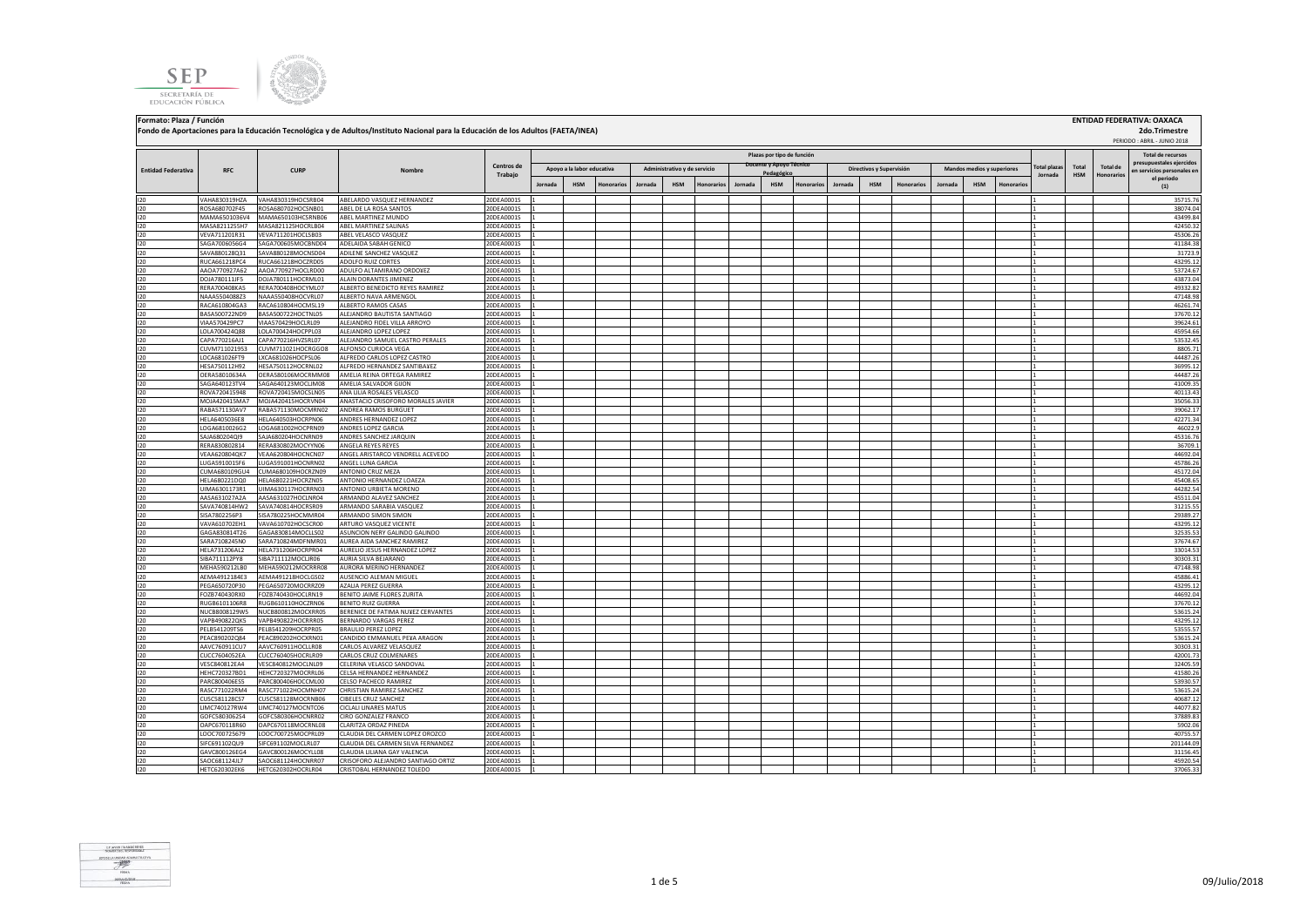**SEP** SECRETARÍA DE EDUCACIÓN PÚBLICA



 PERIODO : ABRIL - JUNIO 2018 **Jornada HSM Honorarios Jornada HSM Honorarios Jornada HSM Honorarios Jornada HSM Honorarios Jornada HSM Honorarios** I20 VAHA830319HZA VAHA830319HOCSRB04 ABELARDO VASQUEZ HERNANDEZ 20DEA0001S 1 1 35715.76 I20 ROSA680702F45 ROSA680702HOCSNB01 ABEL DE LA ROSA SANTOS 20DEA0001S 1 1 38074.04 I20 MAMA6501036V4 MAMA650103HCSRNB06 ABEL MARTINEZ MUNDO 20DEA0001S 1 1 43499.84 I20 MASA8211255H7 |MASA821125HOCRLB04 ABEL MARTINEZ SALINAS \_\_\_\_\_\_\_\_\_\_\_\_\_\_\_\_\_\_\_\_20DEA0001S \_1 |\_\_\_\_\_\_\_\_\_\_\_\_\_\_\_ I20 VEVA711201R31 VEVA711201HOCLSB03 ABELVELASCO VASQUEZ 20DEA0001S 1 2 45306.26 20DEA0001S 20 20DEA0001S 1 45306.26 I20 SAGA7006056G4 SAGA700605MOCBND04 ADELAIDA SABAH GENICO 20DEA0001S 1 2 41184.38 ADELAIDA 20DEA0001S 20 20DEA0001S 1 41 41184.38 ADELAIDA 41184.38 ADELAIDA 41184.38 ADELAIDA 41184.38 ADELAIDA 41184.38 ADELAIDA 41184.38 A I20 SAVA880128Q31 SAVA880128MOCNSD04 ADILENE SANCHEZ VASQUEZ 20DEA0001S 1 2 31723.9 [20DEA0001S ] 201 31723.9 [ I20 RUCA661218PC4 RUCA661218HOCZRD05 ADOLFO.RUIZ.CORTES 20DEA0001S 1 2 43295.12 20DEA0001S 20 20DEA0001S 1 2 43295.12 I20 AAOA770927A62 AAOA770927HOCLRD00 ADULFO ALTAMIRANO ORDO¥EZ 20DEA0001S 1 1 53724.67 I20 DOJA780111JF5 DOJA780111HOCRML01 ALAIN DORANTES JIMENEZ 20DEA0001S 1 1 43873.04 I20 RERA700408KA5 RERA700408HOCYML07 ALBERTO BENEDICTO REYES RAMIREZ 20DEA0001S 1 2 40932.82 20DEA0001S 1 49332.82 I20 NAAA5504088Z3 NAAA550408HOCVRL07 ALBERTO NAVA ARMENGOL 20DEA0001S 1 1 47148.98 I20 RACA610804GA3 RACA610804HOCMSL19 ALBERTO.RAMOSCASAS 20DEA0001S 1 20DEA0001S 1 20DEA0001S 20DEA0001S 20DEA I20 BASA500722ND9 BASA500722HOCTNL05 ALEJANDRO BAUTISTA SANTIAGO 20DEA0001S 1 1 37670.12 I20 VIAA570429PC7 VIAA570429HOCLRL09 ALEJANDRO FIDEL VILLA ARROYO 20DEA0001S 1 1 39624.61 I20 LOLA700424Q88 LOLA700424HOCPPL03 ALEJANDRO LOPEZ LOPEZ 20DEA0001S 1 1 45954.66 I20 CAPA770216AJ1 CAPA770216HVZSRL07 ALEJANDRO SAMUEL CASTRO PERALES 20DEA0001S 1 1 53532.45 I20 CUVM711021953 CUVM711021HOCRGGO8 ALFONSO CURIOCA VEGA 20DEA0001S 1 1 8805.71 I20 LOCA681026FT9 LXCA681026HOCPSL06 ALFREDO CARLOS LOPEZ CASTRO 20DEA0001S 1 1 44487.26 I20 HESA750112H92 HESA750112HOCRNL02 ALFREDO HERNANDEZ SANTIBA¥EZ 20DEA0001S 1 1 36995.12 I20 OERA58010634A OERA580106MOCRMM08 AMELIA REINA ORTEGA RAMIREZ 20DEA0001S 1 1 44487.26 I20 SAGA640123TV4 SAGA640123MOCLJM08 AMELIA SALVADOR GIJON 20DEA0001S 1 1 41009.35 I20 ROVA720415948 ROVA720415MOCSLN05 ANA LILIA ROSALES VELASCO 20DEA0001S 1 1 40113.43 I20 MOJA420415MA7 MOJA420415HOCRVN04 ANASTACIO CRISOFORO MORALES JAVIER 20DEA0001S 1 1 35056.33 RABA571130AV7 RABA571130MOCMRN02 ANDREA RAMOS BURGUET 20DEA0001S 1 2 2001 2000 21 39062.17<br>IHELAG405036E8 HELAG40503HOCRPN06 ANDRES HERNANDEZ LOPEZ 20DE<u>A0001S 1 3 39062.17 3 39062.17 3 39062.17 3 42271.3</u> I20 HELA6405036E8 HELA640503HOCRPN06 ANDRES HERNANDEZ LOPEZ 20DEA0001S 1 1 42271.34 I20 LOGA6810026G2 LOGA681002HOCPRN09 ANDRES LOPEZ GARCIA 20DEA0001S 1 1 46022.9 I20 SAJA680204QI9 SAJA680204HOCNRN09 ANDRES SANCHEZ JARQUIN 20DEA0001S 1 1 45316.76 IERA830802814 RERA83080240CYYN06 ANGELAEYSE REYES 200EA00001S 1<br>UEAA620804041 REAA6230804040CYWN07 ANGELA REYES REYES 200EA00001S 1 1 1 200EA0001S 1 1 1 200EA00 100EA00021 1 200EA00 100EA0001 1 1 200EA00 100EA00 100EA00 10 I20 VEAA620804QK7 VEAA620804HOCNCN07 ANGEL ARISTARCO VENDRELL ACEVEDO 20DEA0001S 1 1 44692.04 I20 LUGA5910015F6 LUGA591001HOCNRN02 ANGEL LUNA GARCIA 20DEA0001S 1 1 45786.26 I20 CUMA680109GU4 CUMA680109HOCRZN09 ANTONIO CRUZ MEZA 20DEA0001S 1 1 45172.04 I20 HELA680221DQ0 HELA680221HOCRZN05 ANTONIO HERNANDEZ LOAEZA 20DEA0001S 1 1 45408.65 I20 UIMA6301173R1 UIMA630117HOCRRN03 ANTONIO URBIETA MORENO 20DEA0001S 1 1 44282.54 I20 AASA631027A2A AASA631027HOCLNR04 ARMANDO ALAVEZ SANCHEZ 20DEA0001S 1 1 45511.04 I20 SAVA740814HW2 SAVA740814HOCRSR09 ARMANDO SARABIA VASQUEZ 20DEA0001S 1 1 31215.55 I20 SISA7802256P3 SISA780225HOCMMR04 ARMANDO SIMON SIMON 20DEA0001S 1 1 29389.27 I20 VAVA610702EH1 VAVA610702HOCSCR00 ARTURO VASQUEZ VICENTE 20DEA0001S 1 1 43295.12 I20 GAGA830814T26 GAGA830814MOCLLS02 ASUNCION NERY GALINDO GALINDO 20DEA0001S 1 1 32535.53 I20 SARA7108245N0 SARA710824MDFNMR01 AUREA AIDA SANCHEZ RAMIREZ 20DEA0001S 1 1 37674.67 I20 HELA731206AL2 HELA731206HOCRPR04 AURELIO JESUS HERNANDEZ LOPEZ 20DEA0001S 1 1 33014.53 I20 SIBA711112PY8 SIBA711112MOCLJR06 AURIA SILVA BEJARANO 20DEA0001S 1 1 30303.31 IMEHA590212LB0 IMEHA590212MOCRRR08 AURORA MERINO HERNANDEZ 20DEA0001S 1 2 1 47148.98<br>AEMA4912184E3 AEMA491218HOCLGS02 AUSENCIO ALEMAN MIGUEL 20DEA0001S 1 2 200 1 49148.98 1 45886.41 I20 AEMA4912184E3 AEMA491218HOCLGS02 AUSENCIO ALEMAN MIGUEL 20DEA0001S 1 1 45886.41 I20 PEGA650720P30 PEGA650720MOCRRZ09 AZALIA PEREZ GUERRA 20DEA0001S 1 1 43295.12 I20 FOZB740430RX0 FOZB740430HOCLRN19 BENITOJAIME FLORES ZURITA 20DEA0001S 1 20DEA0001S 1 20DEA0001S 1 20DEA0001S 1 2 20DEA0001S 1 20DEA0001S 1 20DEA0001S 20 20DEA0001S 1 20DEA0001S 20DEA0001S 20DEA 200 20DEA 200 200 201 20 I20 RUGB6101106R8 RUGB610110HOCZRN06 BENITORUIZGUERRA 20DEA0001S 1 20DEA0001S 1 20DEA0001S 20DEA0001S 20DEA000 NUCB8008129WS NUCB800812MOCXRR05 BERENICE DE FATIMA NUEVEZ ERVANTES 200EA0001S 1<br>VARBAGN8770KS NUCB8008021MOCB8006 BERENICED DE FATIMA NUEL 200EA0001S 1 1 5361.124 1246.124 1246.124 1246.124 I20 VAPB490822QK5 VAPB490822HOCRRR05 BERNARDO VARGAS PEREZ 20DEA0001S 1 1 43295.12 I20 PELB541209TS6 PELB541209HOCRPR05 BRAULIO PEREZ LOPEZ 20DEA0001S 1 1 53555.57 I20 PEAC890202Q84 PEAC890202HOCXRN01 CANDIDO EMMANUEL PE¥A ARAGON 20DEA0001S 1 1 53615.24 I20 AAVC760911CU7 AAVC760911HOCLLR08 CARLOS ALVAREZ VELASQUEZ 20DEA0001S 1 1 30303.31 I20 CUCC7604052EA CUCC760405HOCRLR09 CARLOS CRUZ COLMENARES 20DEA0001S 1 1 42001.73 I20 VESC840812EA4 VESC840812MOCLNL09 CELERINA VELASCO SANDOVAL 20DEA0001S 1 1 32405.59 I20 HEHC720327BD1 HEHC720327MOCRRL06 CELSA HERNANDEZ HERNANDEZ 20DEA0001S 1 1 41580.26 I20 PARC800406ES5 PARC800406HOCCML00 CELSO PACHECO RAMIREZ 20DEA0001S 1 1 53930.57 I20 RASC771022RM4 RASC771022HOCMNH07 CHRISTIAN RAMIREZ SANCHEZ 20DEA0001S 1 1 53615.24 I20 CUSC581128CS7 CUSC581128MOCRNB06 CIBELES CRUZ SANCHEZ 20DEA0001S 1 1 40687.12 I20 LIMC740127RW4 LIMC740127MOCNTC06 CICLALI LINARES MATUS 20DEA0001S 1 1 44077.82 I20 GOFC5803062S4 GOFC580306HOCNRR02 CIRO GONZALEZ FRANCO 20DEA0001S 1 1 37889.83 I20 OAPC670118R60 OAPC670118MOCRNL08 CLARITZA ORDAZ PINEDA 20DEA0001S 1 1 5902.06  **2do.Trimestre Total plazas Jornada Total HSM Total de Honorarios Total de recursos prestales ejercidos en servicios personales en el periodo (1) Fondo de Aportaciones para la Educación Tecnológica y de Adultos/Instituto Nacional para la Educación de los Adultos (FAETA/INEA) Entidad Federativa RFC CURP Nombre Centros de Trabajo Plazas por tipo de función Apoyo a la labor educativa Administrativo y de servicio Pedagógicos y Supervisión Contra Mandos medios y superiores** 

**Formato: Plaza / Función ENTIDAD FEDERATIVA: OAXACA**



I20 LOOC700725679 LOOC700725MOCPRL09 CLAUDIA DEL CARMEN LOPEZ OROZCO 20DEA0001S 1 1 40755.57 I20 SIFC691102QU9 SIFC691102MOCLRL07 CLAUDIA DEL CARMEN SILVA FERNANDEZ 20DEA0001S 1 1 201144.09 I20 GAVC800126EG4 GAVC800126MOCYLL08 CLAUDIA LILIANA GAY VALENCIA 20DEA0001S 1 1 31156.45

I20 HETC620302EK6 HETC620302HOCRLR04 CRISTOBAL HERNANDEZ TOLEDO 20DEA0001S 1 1 37065.33

SAOC681124UZ) SAOC681124HOCNRR07 CRISOFORO ALEJANDRO ORTIZ 201EA0001S 1<br>urtechnomikus urtechnomikus cristorali cristorali crisorali crisorali crisorali crisorali crisorali crisorali<br>urtechnomikus urtechnomikus cristorali c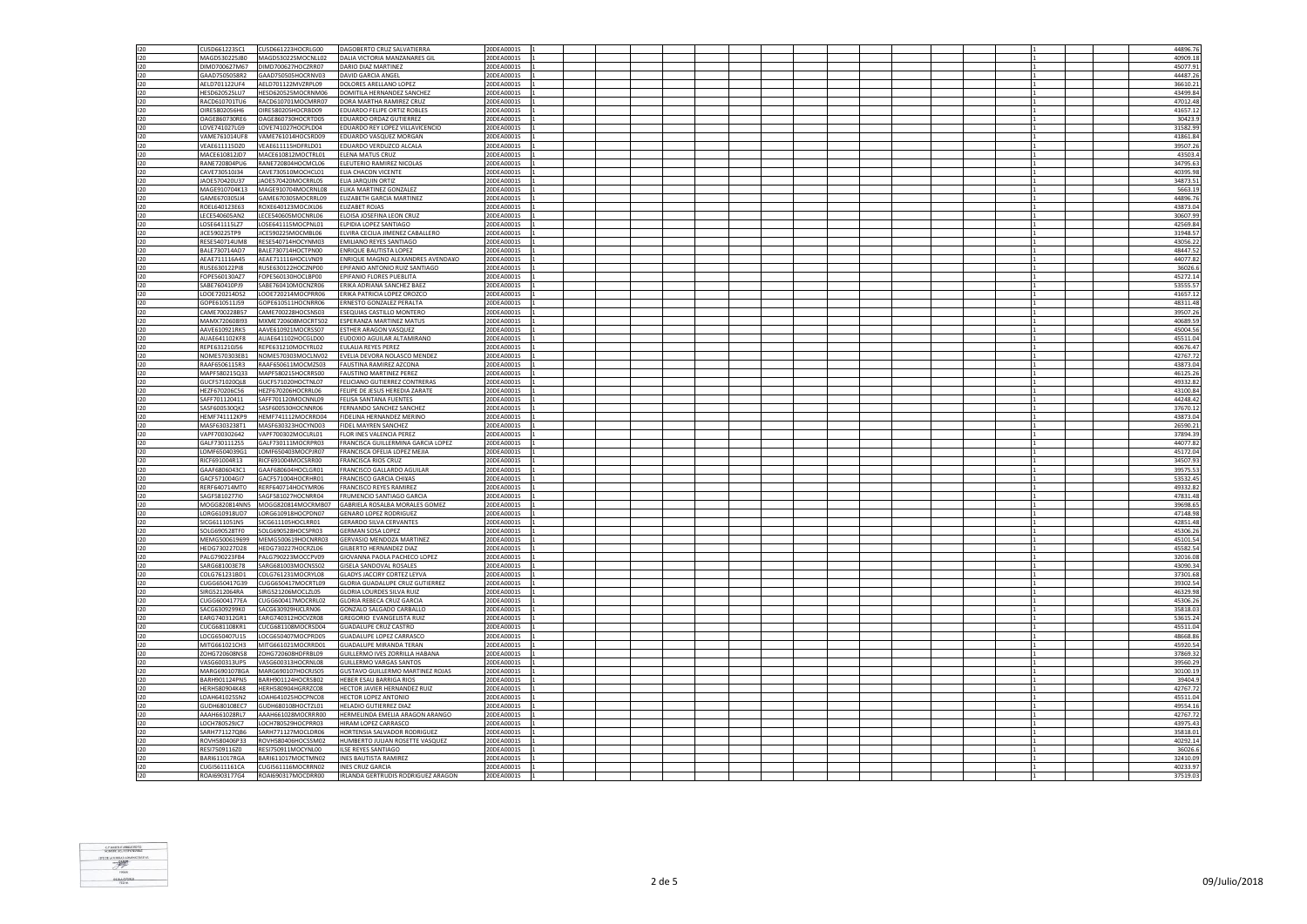| 120 | CUSD661223SC1        | CUSD661223HOCRLG00 | DAGOBERTO CRUZ SALVATIERRA             | 20DEA0001S |  |  |  |  |  |  |  | 44896.76 |
|-----|----------------------|--------------------|----------------------------------------|------------|--|--|--|--|--|--|--|----------|
| 120 | MAGD530225JB0        | MAGD530225MOCNLL02 | DALIA VICTORIA MANZANARES GIL          | 20DEA0001S |  |  |  |  |  |  |  | 40909.18 |
| 120 | DIMD700627M67        | DIMD700627HOCZRR07 | DARIO DIAZ MARTINEZ                    | 20DEA0001S |  |  |  |  |  |  |  | 45077.91 |
|     |                      |                    |                                        |            |  |  |  |  |  |  |  |          |
| 120 | GAAD7505058R2        | GAAD750505HOCRNV03 | DAVID GARCIA ANGEL                     | 20DEA0001S |  |  |  |  |  |  |  | 44487.26 |
| 120 | AELD701122UF4        | AELD701122MVZRPL09 | DOLORES ARELLANO LOPEZ                 | 20DEA0001S |  |  |  |  |  |  |  | 36610.2  |
| 120 | HESD620525LU7        | HESD620525MOCRNM06 | DOMITILA HERNANDEZ SANCHEZ             | 20DEA0001S |  |  |  |  |  |  |  | 43499.84 |
| 120 | RACD610701TU6        | RACD610701MOCMRR07 | DORA MARTHA RAMIREZ CRUZ               | 20DEA0001S |  |  |  |  |  |  |  | 47012.48 |
| 120 | OIRE5802056H6        | OIRE580205HOCRBD09 | EDUARDO FELIPE ORTIZ ROBLES            | 20DEA0001S |  |  |  |  |  |  |  | 41657.12 |
| 120 | OAGE860730RE6        | OAGE860730HOCRTD05 | EDUARDO ORDAZ GUTIERREZ                | 20DEA0001S |  |  |  |  |  |  |  | 30423.9  |
| 120 | LOVE741027LG9        | LOVE741027HOCPLD04 | EDUARDO REY LOPEZ VILLAVICENCIO        | 20DEA0001S |  |  |  |  |  |  |  | 31582.99 |
| 120 | VAME761014UF8        | VAME761014HOCSRD09 | EDUARDO VASQUEZ MORGAN                 | 20DEA0001S |  |  |  |  |  |  |  | 41861.84 |
| 120 | VEAE611115DZ0        | VEAE611115HDFRLD01 | EDUARDO VERDUZCO ALCALA                | 20DEA0001S |  |  |  |  |  |  |  | 39507.2  |
| 120 | MACE610812JD7        | MACE610812MOCTRL01 | <b>ELENA MATUS CRUZ</b>                | 20DEA0001S |  |  |  |  |  |  |  | 43503.   |
|     |                      |                    |                                        |            |  |  |  |  |  |  |  |          |
| 120 | RANE720804PU6        | RANE720804HOCMCL06 | ELEUTERIO RAMIREZ NICOLAS              | 20DEA0001S |  |  |  |  |  |  |  | 34795.63 |
| 120 | CAVE730510J34        | CAVE730510MOCHCL01 | ELIA CHACON VICENTE                    | 20DEA0001S |  |  |  |  |  |  |  | 40395.98 |
| 120 | JAOE570420U37        | JAOE570420MOCRRL05 | ELIA JARQUIN ORTIZ                     | 20DEA0001S |  |  |  |  |  |  |  | 34873.5  |
| 120 | MAGE910704K13        | MAGE910704MOCRNL08 | ELIKA MARTINEZ GONZALEZ                | 20DEA0001S |  |  |  |  |  |  |  | 5663.19  |
| 120 | GAME670305JJ4        | GAME670305MOCRRL09 | <b>ELIZABETH GARCIA MARTINEZ</b>       | 20DEA0001S |  |  |  |  |  |  |  | 44896.7  |
| 120 | ROEL640123E63        | ROXE640123MOCJXL06 | ELIZABET ROJAS                         | 20DEA0001S |  |  |  |  |  |  |  | 43873.04 |
| 120 | LECE540605AN2        | LECE540605MOCNRL06 | ELOISA JOSEFINA LEON CRUZ              | 20DEA0001S |  |  |  |  |  |  |  | 30607.99 |
| 120 | LOSE641115LZ7        | LOSE641115MOCPNL01 | ELPIDIA LOPEZ SANTIAGO                 | 20DEA0001S |  |  |  |  |  |  |  | 42569.84 |
| 120 | JICE590225TP9        | JICE590225MOCMBL06 | ELVIRA CECILIA JIMENEZ CABALLERO       | 20DEA0001S |  |  |  |  |  |  |  | 31948.57 |
| 120 | <b>RESES40714UM8</b> | RESE540714HOCYNM03 | <b>FMILIANO REYES SANTIAGO</b>         | 20DEA0001S |  |  |  |  |  |  |  | 43056.22 |
|     |                      |                    |                                        |            |  |  |  |  |  |  |  |          |
| 120 | BALE730714AD7        | BALE730714HOCTPN00 | <b>ENRIQUE BAUTISTA LOPEZ</b>          | 20DEA0001S |  |  |  |  |  |  |  | 48447.52 |
| 120 | AFAF711116A45        | AEAE711116HOCLVN09 | ENRIQUE MAGNO ALEXANDRES AVENDA¥O      | 20DEA0001S |  |  |  |  |  |  |  | 44077.82 |
| 120 | RUSE630122PI8        | RUSE630122HOCZNP00 | EPIFANIO ANTONIO RUIZ SANTIAGO         | 20DEA0001S |  |  |  |  |  |  |  | 36026.6  |
| 120 | FOPE560130AZ7        | FOPE560130HOCLBP00 | EPIFANIO FLORES PUEBLITA               | 20DEA0001S |  |  |  |  |  |  |  | 45272.14 |
| 120 | SABE760410PJ9        | SABE760410MOCNZR06 | ERIKA ADRIANA SANCHEZ BAEZ             | 20DEA0001S |  |  |  |  |  |  |  | 53555.57 |
| 120 | LOOE720214DS2        | LOOE720214MOCPRR06 | ERIKA PATRICIA LOPEZ OROZCO            | 20DEA0001S |  |  |  |  |  |  |  | 41657.12 |
| 120 | GOPE610511J59        | GOPE610511HOCNRR06 | ERNESTO GONZALEZ PERALTA               | 20DEA0001S |  |  |  |  |  |  |  | 48311.48 |
| 120 | CAME700228B57        | CAME700228HOCSNS03 | ESEQUIAS CASTILLO MONTERO              | 20DEA0001S |  |  |  |  |  |  |  | 39507.26 |
| 120 | MAMX720608I93        | MXME720608MOCRTS02 | ESPERANZA MARTINEZ MATUS               | 20DEA0001S |  |  |  |  |  |  |  | 40689.59 |
| 120 | AAVE610921RK5        | AAVE610921MOCRSS07 | ESTHER ARAGON VASQUEZ                  | 20DEA0001S |  |  |  |  |  |  |  | 45004.56 |
|     |                      |                    |                                        |            |  |  |  |  |  |  |  |          |
| 120 | AUAE641102KF8        | AUAE641102HOCGLD00 | EUDOXIO AGUILAR ALTAMIRANO             | 20DEA0001S |  |  |  |  |  |  |  | 45511.04 |
| 120 | REPE631210J56        | REPE631210MOCYRL02 | <b>EULALIA REYES PEREZ</b>             | 20DEA0001S |  |  |  |  |  |  |  | 40676.47 |
| 120 | NOME570303EB1        | NOME570303MOCLNV02 | EVELIA DEVORA NOLASCO MENDEZ           | 20DEA0001S |  |  |  |  |  |  |  | 42767.72 |
| 120 | RAAF6506115R3        | RAAF650611MOCMZS03 | FAUSTINA RAMIREZ AZCONA                | 20DEA0001S |  |  |  |  |  |  |  | 43873.04 |
| 120 | MAPF580215Q33        | MAPF580215HOCRRS00 | <b>FAUSTINO MARTINEZ PEREZ</b>         | 20DEA0001S |  |  |  |  |  |  |  | 46125.26 |
| 120 | GUCF571020QL8        | GUCF571020HOCTNL07 | FELICIANO GUTIERREZ CONTRERAS          | 20DEA0001S |  |  |  |  |  |  |  | 49332.82 |
| 120 | HEZF670206C56        | HEZF670206HOCRRL06 | FELIPE DE JESUS HEREDIA ZARATE         | 20DEA0001S |  |  |  |  |  |  |  | 43100.8  |
| 120 | SAFF701120411        | SAFF701120MOCNNL09 | FELISA SANTANA FUENTES                 | 20DEA0001S |  |  |  |  |  |  |  | 44248.42 |
| 120 | SASF600530QK2        | SASF600530HOCNNR06 | FERNANDO SANCHEZ SANCHEZ               | 20DEA0001S |  |  |  |  |  |  |  | 37670.12 |
| 120 | <b>HEMF741112KP9</b> | HEMF741112MOCRRD04 | FIDELINA HERNANDEZ MERINO              | 20DEA0001S |  |  |  |  |  |  |  | 43873.04 |
|     |                      |                    |                                        |            |  |  |  |  |  |  |  |          |
| 120 | MASF6303238T1        | MASF630323HOCYND03 | FIDEL MAYREN SANCHEZ                   | 20DEA0001S |  |  |  |  |  |  |  | 26590.21 |
| 120 | VAPF700302642        | VAPF700302MOCLRL01 | FLOR INES VALENCIA PEREZ               | 20DEA0001S |  |  |  |  |  |  |  | 37894.39 |
| 120 | GALF7301112S5        | GALF730111MOCRPR03 | FRANCISCA GUILLERMINA GARCIA LOPEZ     | 20DEA0001S |  |  |  |  |  |  |  | 44077.82 |
| 120 | LOMF6504039G1        | LOMF650403MOCPJR07 | FRANCISCA OFELIA LOPEZ MEJIA           | 20DEA0001S |  |  |  |  |  |  |  | 45172.04 |
| 120 | RICF691004R13        | RICF691004MOCSRR00 | <b>FRANCISCA RIOS CRUZ</b>             | 20DEA0001S |  |  |  |  |  |  |  | 34507.93 |
| 120 | GAAF6806043C1        | GAAF680604HOCLGR01 | FRANCISCO GALLARDO AGUILAR             | 20DEA0001S |  |  |  |  |  |  |  | 39575.5  |
| 120 | GACF571004GI7        | GACF571004HOCRHR01 | <b>FRANCISCO GARCIA CHIXAS</b>         | 20DEA0001S |  |  |  |  |  |  |  | 53532.45 |
| 120 | RERF640714MT0        | RERF640714HOCYMR06 | FRANCISCO REYES RAMIREZ                | 20DEA0001S |  |  |  |  |  |  |  | 49332.82 |
| 120 | SAGF5810277I0        | SAGF581027HOCNRR04 | FRUMENCIO SANTIAGO GARCIA              | 20DEA0001S |  |  |  |  |  |  |  | 47831.48 |
| 120 | MOGG820814NN5        | MOGG820814MOCRMB07 | GABRIELA ROSALBA MORALES GOMEZ         | 20DEA0001S |  |  |  |  |  |  |  | 39698.6  |
|     |                      |                    |                                        |            |  |  |  |  |  |  |  |          |
| 120 | LORG610918UD7        | LORG610918HOCPDN07 | <b>GENARO LOPEZ RODRIGUEZ</b>          | 20DEA0001S |  |  |  |  |  |  |  | 47148.9  |
| 120 | SICG6111051N5        | SICG611105HOCLRR01 | <b>GERARDO SILVA CERVANTES</b>         | 20DEA0001S |  |  |  |  |  |  |  | 42851.48 |
| 120 | SOLG690528TF0        | SOLG690528HOCSPR03 | <b>GERMAN SOSA LOPEZ</b>               | 20DEA0001S |  |  |  |  |  |  |  | 45306.26 |
| 120 | MEMG500619699        | MEMG500619HOCNRR03 | GERVASIO MENDOZA MARTINEZ              | 20DEA0001S |  |  |  |  |  |  |  | 45101.5  |
| 120 | HEDG730227D28        | HEDG730227HOCRZL06 | <b>GILBERTO HERNANDEZ DIAZ</b>         | 20DEA0001S |  |  |  |  |  |  |  | 45582.5  |
| 120 | PALG790223FB4        | PALG790223MOCCPV09 | GIOVANNA PAOLA PACHECO LOPEZ           | 20DEA0001S |  |  |  |  |  |  |  | 32016.08 |
| 120 | SARG681003E78        | SARG681003MOCNSS02 | GISELA SANDOVAL ROSALES                | 20DEA0001S |  |  |  |  |  |  |  | 43090.34 |
| 120 | COLG761231BD1        | COLG761231MOCRYL08 | GLADYS JACCIRY CORTEZ LEYVA            | 20DEA0001S |  |  |  |  |  |  |  | 37301.68 |
| 120 | CUGG650417G39        | CUGG650417MOCRTL09 | <b>GLORIA GUADALUPE CRUZ GUTIERREZ</b> | 20DEA0001S |  |  |  |  |  |  |  | 39302.54 |
| 120 | SIRG5212064RA        | SIRG521206MOCLZL05 | GLORIA LOURDES SILVA RUIZ              | 20DEA0001S |  |  |  |  |  |  |  | 46329.98 |
| 120 | CUGG6004177EA        | CUGG600417MOCRRL02 | <b>GLORIA REBECA CRUZ GARCIA</b>       | 20DEA0001S |  |  |  |  |  |  |  | 45306.26 |
|     |                      |                    |                                        |            |  |  |  |  |  |  |  |          |
| 120 | SACG6309299K0        | SACG630929HJCLRN06 | GONZALO SALGADO CARBALLO               | 20DEA0001S |  |  |  |  |  |  |  | 35818.03 |
| 120 | EARG740312GR1        | EARG740312HOCVZR08 | <b>GREGORIO EVANGELISTA RUIZ</b>       | 20DEA0001S |  |  |  |  |  |  |  | 53615.24 |
| 120 | CUCG681108KR1        | CUCG681108MOCRSD04 | <b>GUADALUPE CRUZ CASTRO</b>           | 20DEA0001S |  |  |  |  |  |  |  | 45511.04 |
| 120 | LOCG650407U15        | LOCG650407MOCPRD05 | GUADALUPE LOPEZ CARRASCO               | 20DEA0001S |  |  |  |  |  |  |  | 48668.86 |
| 120 | MITG661021CH3        | MITG661021MOCRRD01 | <b>GUADALUPE MIRANDA TERAN</b>         | 20DEA0001S |  |  |  |  |  |  |  | 45920.54 |
| 120 | ZOHG720608NS8        | ZOHG720608HDFRBL09 | GUILLERMO IVES ZORRILLA HABANA         | 20DEA0001S |  |  |  |  |  |  |  | 37869.32 |
| 120 | VASG600313UP5        | VASG600313HOCRNL08 | <b>GUILLERMO VARGAS SANTOS</b>         | 20DEA0001S |  |  |  |  |  |  |  | 39560.29 |
| 120 | MARG6901078GA        | MARG690107HOCRJS05 | GUSTAVO GUILLERMO MARTINEZ ROJAS       | 20DEA0001S |  |  |  |  |  |  |  | 30100.19 |
| 120 |                      |                    | HEBER ESAU BARRIGA RIOS                | 20DEA0001S |  |  |  |  |  |  |  |          |
|     | BARH901124PN5        | BARH901124HOCRSB02 |                                        |            |  |  |  |  |  |  |  | 39404.9  |
| 120 | <b>HERH580904K48</b> | HERH580904HGRRZC08 | HECTOR JAVIER HERNANDEZ RUIZ           | 20DEA0001S |  |  |  |  |  |  |  | 42767.72 |
| 120 | LOAH641025SN2        | LOAH641025HOCPNC08 | <b>HECTOR LOPEZ ANTONIO</b>            | 20DEA0001S |  |  |  |  |  |  |  | 45511.0  |
| 120 | GUDH680108EC7        | GUDH680108HOCTZL01 | HELADIO GUTIERREZ DIAZ                 | 20DEA0001S |  |  |  |  |  |  |  | 49554.16 |
| 120 | AAAH661028RL7        | AAAH661028MOCRRR00 | HERMELINDA EMELIA ARAGON ARANGO        | 20DEA0001S |  |  |  |  |  |  |  | 42767.72 |
| 120 | LOCH780529JC7        | LOCH780529HOCPRR03 | HIRAM LOPEZ CARRASCO                   | 20DEA0001S |  |  |  |  |  |  |  | 43975.43 |
| 120 | SARH771127QB6        | SARH771127MOCLDR06 | HORTENSIA SALVADOR RODRIGUEZ           | 20DEA0001S |  |  |  |  |  |  |  | 35818.01 |
| 120 | ROVH580406P33        | ROVH580406HOCSSM02 | HUMBERTO JULIAN ROSETTE VASQUEZ        | 20DEA0001S |  |  |  |  |  |  |  | 40292.14 |
| 120 | RESI7509116Z0        | RESI750911MOCYNL00 | <b>ILSE REYES SANTIAGO</b>             | 20DEA0001S |  |  |  |  |  |  |  | 36026.6  |
| 120 | BARI611017RGA        | BARI611017MOCTMN02 | <b>INES BAUTISTA RAMIREZ</b>           | 20DEA0001S |  |  |  |  |  |  |  | 32410.09 |
| 120 | CUGI5611161CA        | CUGI561116MOCRRN02 | <b>INES CRUZ GARCIA</b>                | 20DEA0001S |  |  |  |  |  |  |  | 40233.97 |
|     |                      |                    |                                        |            |  |  |  |  |  |  |  |          |
| 120 | ROAI6903177G4        | ROAI690317MOCDRR00 | IRLANDA GERTRUDIS RODRIGUEZ ARAGON     | 20DEA0001S |  |  |  |  |  |  |  | 37519.03 |

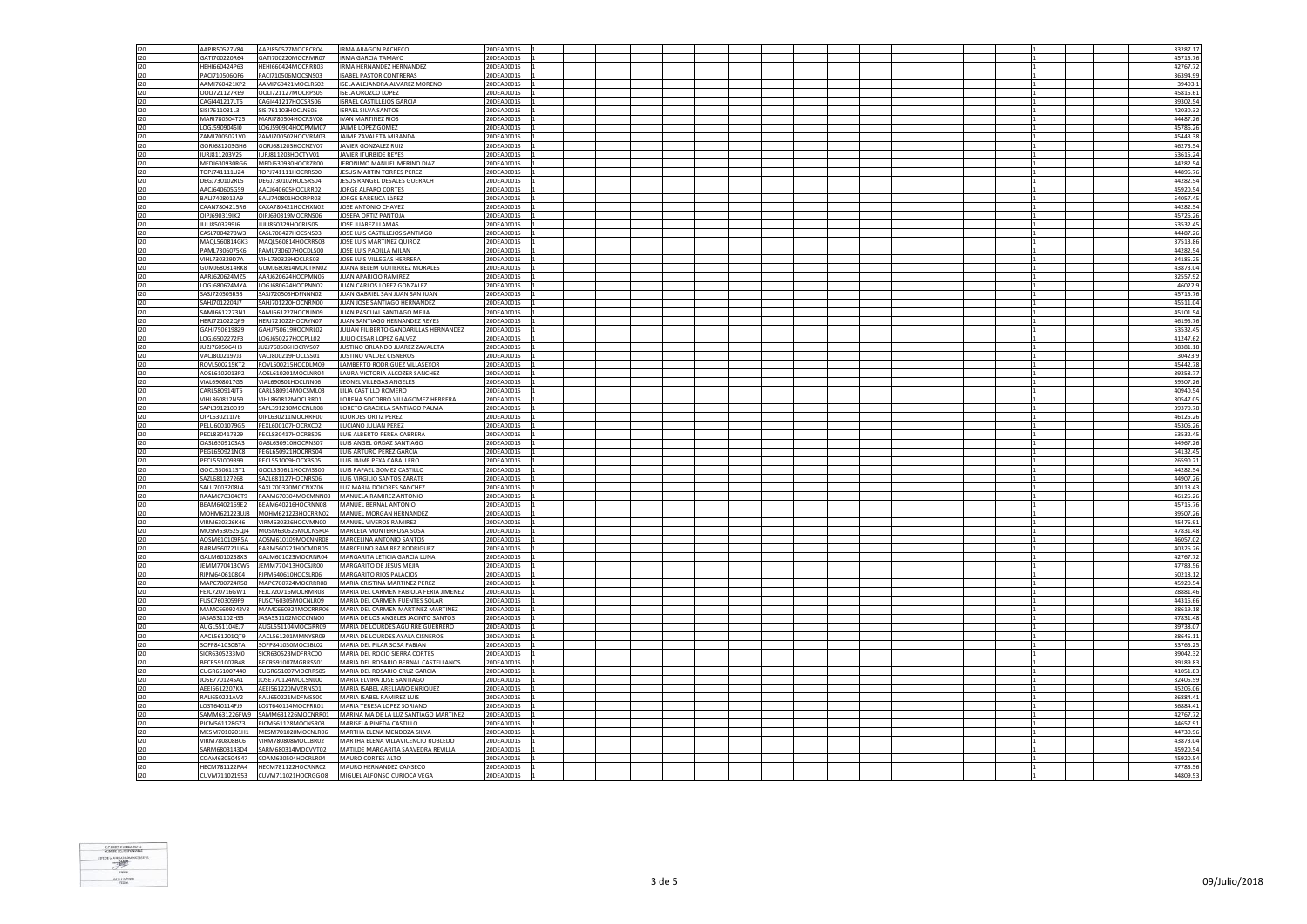| 120        | AAPI850527V84                  | AAPI850527MOCRCR04                                     | <b>IRMA ARAGON PACHECO</b>                                                | 20DEA0001S               |  |  |  |  |  |  |  | 33287.17             |
|------------|--------------------------------|--------------------------------------------------------|---------------------------------------------------------------------------|--------------------------|--|--|--|--|--|--|--|----------------------|
| 120        | GATI700220R64                  | GATI700220MOCRMR07                                     | <b>IRMA GARCIA TAMAYO</b>                                                 | 20DEA0001S               |  |  |  |  |  |  |  | 45715.76             |
| 120        | HEHI660424P63                  | HEHI660424MOCRRR03                                     | <b>IRMA HERNANDEZ HERNANDEZ</b>                                           | 20DEA0001S               |  |  |  |  |  |  |  | 42767.72             |
|            |                                |                                                        |                                                                           |                          |  |  |  |  |  |  |  |                      |
| 120        | PAC1710506QF6                  | PACI710506MOCSNS03                                     | <b>ISABEL PASTOR CONTRERAS</b>                                            | 20DEA0001S               |  |  |  |  |  |  |  | 36394.99             |
| 120        | AAMI760421KP2                  | AAMI760421MOCLRS02                                     | ISELA ALEJANDRA ALVAREZ MORENO                                            | 20DEA0001S               |  |  |  |  |  |  |  | 39403.1              |
| 120        | OOLI721127RE9                  | OOLI721127MOCRPS05                                     | <b>ISELA OROZCO LOPEZ</b>                                                 | 20DEA0001S               |  |  |  |  |  |  |  | 45815.61             |
| $120 -$    | CAG14412171T5                  | CAGI441217HOCSRS06                                     | ISRAEL CASTILLE IOS GARCIA                                                | 20DEA0001S               |  |  |  |  |  |  |  | 39302.54             |
| 120        | SISI7611031L3                  | SISI761103HOCLNS05                                     | <b>ISRAEL SILVA SANTOS</b>                                                | 20DEA0001S               |  |  |  |  |  |  |  | 42030.32             |
| 120        | MARI780504T25                  | MARI780504HOCRSV08                                     | IVAN MARTINEZ RIOS                                                        | 20DEA0001S               |  |  |  |  |  |  |  | 44487.26             |
| 120        | LOGJ5909045I0                  | LOGJ590904HOCPMM07                                     | JAIME LOPEZ GOMEZ                                                         | 20DEA0001S               |  |  |  |  |  |  |  | 45786.26             |
| 120        | ZAMJ7005021V0                  | ZAMJ700502HOCVRM03                                     | JAIME ZAVALETA MIRANDA                                                    | 20DEA0001S               |  |  |  |  |  |  |  | 45443.38             |
|            |                                |                                                        |                                                                           |                          |  |  |  |  |  |  |  |                      |
| $120 -$    | GORI681203GH6                  | GORJ681203HOCNZV07                                     | <b>IAVIER GONZALEZ RUIZ</b>                                               | 20DEA0001S               |  |  |  |  |  |  |  | 46273.54             |
| 120        | IURJ811203V25                  | IURJ811203HOCTYV01                                     | JAVIER ITURBIDE REYES                                                     | 20DEA0001S               |  |  |  |  |  |  |  | 53615.2              |
| 120        | MEDJ630930RG6                  | MEDJ630930HOCRZR00                                     | JERONIMO MANUEL MERINO DIAZ                                               | 20DEA0001S               |  |  |  |  |  |  |  | 44282.54             |
| 120        | TOPJ741111UZ4                  | TOPJ741111HOCRRS00                                     | <b>JESUS MARTIN TORRES PEREZ</b>                                          | 20DEA0001S               |  |  |  |  |  |  |  | 44896.76             |
| 120        | DEGJ730102RL5                  | DEGJ730102HOCSRS04                                     | JESUS RANGEL DESALES GUERACH                                              | 20DEA0001S               |  |  |  |  |  |  |  | 44282.54             |
| 120        | AACJ640605G59                  | AACJ640605HOCLRR02                                     | JORGE ALFARO CORTES                                                       | 20DEA0001S               |  |  |  |  |  |  |  | 45920.54             |
| 120        | BALJ7408013A9                  | BALJ740801HOCRPR03                                     | JORGE BARENCA LAPEZ                                                       | 20DEA0001S               |  |  |  |  |  |  |  | 54057.4              |
| 120        | CAAN7804215R6                  | CAXA780421HOCHXN02                                     | JOSE ANTONIO CHAVEZ                                                       | 20DEA0001S               |  |  |  |  |  |  |  | 44282.54             |
| 120        |                                | OIPJ690319MOCRNS06                                     | JOSEFA ORTIZ PANTOJA                                                      |                          |  |  |  |  |  |  |  | 45726.26             |
|            | OIPJ690319IK2                  |                                                        |                                                                           | 20DEA0001S               |  |  |  |  |  |  |  |                      |
| 120        | JULJ8503299J6                  | JULJ850329HOCRLS05                                     | JOSE JUAREZ LLAMAS                                                        | 20DEA0001S               |  |  |  |  |  |  |  | 53532.45             |
| 120        | CASL7004278W3                  | CASL700427HOCSNS03                                     | JOSE LUIS CASTILLEJOS SANTIAGO                                            | 20DEA0001S               |  |  |  |  |  |  |  | 44487.26             |
| $120 -$    | MAOI 560814GK3                 | MAQL560814HOCRRS03                                     | <b>IOSE LUIS MARTINEZ QUIROZ</b>                                          | 20DEA0001S               |  |  |  |  |  |  |  | 37513.86             |
| 120        | PAML7306075K6                  | PAML730607HOCDLS00                                     | JOSE LUIS PADILLA MILAN                                                   | 20DEA0001S               |  |  |  |  |  |  |  | 44282.54             |
| 120        | VIHI 730329D7A                 | VIHL730329HOCLRS03                                     | JOSE LUIS VILLEGAS HERRERA                                                | 20DEA0001S               |  |  |  |  |  |  |  | 34185.25             |
| 120        | GUMJ680814RK8                  | GUMJ680814MOCTRN02                                     | JUANA BELEM GUTIERREZ MORALES                                             | 20DEA0001S               |  |  |  |  |  |  |  | 43873.04             |
| 120        | AARJ620624MZ5                  | AARJ620624HOCPMN05                                     | JUAN APARICIO RAMIREZ                                                     | 20DEA0001S               |  |  |  |  |  |  |  | 32557.9              |
| 120        | LOGJ680624MYA                  | LOGJ680624HOCPNN02                                     | JUAN CARLOS LOPEZ GONZALEZ                                                | 20DEA0001S               |  |  |  |  |  |  |  | 46022.9              |
| 120        | SASJ720505R53                  | SASJ720505HDFNNN02                                     | JUAN GABRIEL SAN JUAN SAN JUAN                                            | 20DEA0001S               |  |  |  |  |  |  |  | 45715.76             |
|            |                                |                                                        |                                                                           |                          |  |  |  |  |  |  |  |                      |
| 120        | SAHJ7012204J7                  | SAHJ701220HOCNRN00                                     | JUAN JOSE SANTIAGO HERNANDEZ                                              | 20DEA0001S               |  |  |  |  |  |  |  | 45511.04             |
| 120        | SAMJ6612273N1                  | SAMJ661227HOCNJN09                                     | JUAN PASCUAL SANTIAGO MEJIA                                               | 20DEA0001S               |  |  |  |  |  |  |  | 45101.54             |
| 120        | HERJ721022QP9                  | HERJ721022HOCRYN07                                     | JUAN SANTIAGO HERNANDEZ REYES                                             | 20DEA0001S               |  |  |  |  |  |  |  | 46195.76             |
| 120        | GAHJ7506198Z9                  | GAHJ750619HOCNRL02                                     | JULIAN FILIBERTO GANDARILLAS HERNANDEZ                                    | 20DEA0001S               |  |  |  |  |  |  |  | 53532.45             |
| 120        | LOGJ6502272F3                  | LOGJ650227HOCPLL02                                     | JULIO CESAR LOPEZ GALVEZ                                                  | 20DEA0001S               |  |  |  |  |  |  |  | 41247.62             |
| 120        | JUZJ7605064H3                  | JUZJ760506HOCRVS07                                     | JUSTINO ORLANDO JUAREZ ZAVALETA                                           | 20DEA0001S               |  |  |  |  |  |  |  | 38381.18             |
| 120        | VACJ8002197J3                  | VACJ800219HOCLSS01                                     | JUSTINO VALDEZ CISNEROS                                                   | 20DEA0001S               |  |  |  |  |  |  |  | 30423.               |
| 120        | ROVL500215KT2                  | ROVL500215HOCDLM09                                     | LAMBERTO RODRIGUEZ VILLASE¥OR                                             | 20DEA0001S               |  |  |  |  |  |  |  | 45442.78             |
| 120        | AOSL6102013P2                  | AOSL610201MOCLNR04                                     | LAURA VICTORIA ALCOZER SANCHEZ                                            | 20DEA0001S               |  |  |  |  |  |  |  | 39258.77             |
| 120        | VIAL6908017G5                  | VIAL690801HOCLNN06                                     | <b>LEONEL VILLEGAS ANGELES</b>                                            | 20DEA0001S               |  |  |  |  |  |  |  | 39507.26             |
| 120        | CARL580914JT5                  | CARL580914MOCSML03                                     | LILIA CASTILLO ROMERO                                                     | 20DEA0001S               |  |  |  |  |  |  |  | 40940.5              |
| 120        | VIHL860812N59                  | VIHL860812MOCLRR01                                     | LORENA SOCORRO VILLAGOMEZ HERRERA                                         | 20DEA0001S               |  |  |  |  |  |  |  | 30547.05             |
| 120        | SAPL391210D19                  | SAPL391210MOCNLR08                                     | LORETO GRACIELA SANTIAGO PALMA                                            | 20DEA0001S               |  |  |  |  |  |  |  | 39370.78             |
| $120 -$    | OIPL630211I76                  | OIPL630211MOCRRR00                                     | LOURDES ORTIZ PEREZ                                                       | 20DEA0001S               |  |  |  |  |  |  |  | 46125.26             |
|            |                                |                                                        |                                                                           |                          |  |  |  |  |  |  |  |                      |
| 120        | PELU6001079G5                  | PEXL600107HOCRXC02                                     | LUCIANO JULIAN PEREZ                                                      | 20DEA0001S               |  |  |  |  |  |  |  | 45306.26             |
| 120        | PECL830417329                  | PECL830417HOCRBS05                                     | LUIS ALBERTO PEREA CABRERA                                                | 20DEA0001S               |  |  |  |  |  |  |  | 53532.45             |
|            |                                |                                                        |                                                                           |                          |  |  |  |  |  |  |  |                      |
| 120        | OASL630910SA3                  | OASL630910HOCRNS07                                     | LUIS ANGEL ORDAZ SANTIAGO                                                 | 20DEA0001S               |  |  |  |  |  |  |  | 44967.26             |
| 120        | PEGL650921NC8                  | PEGL650921HOCRRS04                                     | LUIS ARTURO PEREZ GARCIA                                                  | 20DEA0001S               |  |  |  |  |  |  |  | 54132.45             |
| 120        | PECL551009399                  | PECL551009HOCXBS05                                     | LUIS JAIME PE¥A CABALLERO                                                 | 20DEA0001S               |  |  |  |  |  |  |  | 26590.21             |
| 120        | GOCL5306113T1                  | GOCL530611HOCMSS00                                     | LUIS RAFAEL GOMEZ CASTILLO                                                | 20DEA0001S               |  |  |  |  |  |  |  | 44282.54             |
| 120        | SAZL681127268                  | SAZL681127HOCNRS06                                     | LUIS VIRGILIO SANTOS ZARATE                                               | 20DEA0001S               |  |  |  |  |  |  |  | 44907.26             |
| 120        | SALU7003208L4                  | SAXL700320MOCNXZ06                                     | LUZ MARIA DOLORES SANCHEZ                                                 | 20DEA0001S               |  |  |  |  |  |  |  | 40113.43             |
|            |                                |                                                        |                                                                           |                          |  |  |  |  |  |  |  |                      |
| 120<br>120 | RAAM6703046T9<br>BEAM6402169E2 | BEAM640216HOCRNN08                                     | RAAM670304MOCMNN08 MANUELA RAMIREZ ANTONIO<br>MANUEL BERNAL ANTONIO       | 20DEA0001S<br>20DEA0001S |  |  |  |  |  |  |  | 46125.26<br>45715.7  |
|            |                                |                                                        |                                                                           |                          |  |  |  |  |  |  |  |                      |
| 120        | MOHM621223UJ8                  | MOHM621223HOCRRN02                                     | MANUEL MORGAN HERNANDEZ                                                   | 20DEA0001S               |  |  |  |  |  |  |  | 39507.2              |
| 120        | VIRM630326K46                  | VIRM630326HOCVMN00                                     | MANUEL VIVEROS RAMIREZ                                                    | 20DEA0001S               |  |  |  |  |  |  |  | 45476.9              |
| 120        |                                | MOSM630525QJ4 MOSM630525MOCNSR04                       | MARCELA MONTERROSA SOSA                                                   | 20DEA0001S               |  |  |  |  |  |  |  | 47831.48             |
| 120        |                                | AOSM610109R5A AOSM610109MOCNNR08                       | MARCELINA ANTONIO SANTOS                                                  | 20DEA0001S               |  |  |  |  |  |  |  | 46057.02             |
| 120        | RARM560721U6A                  | RARM560721HOCMDR05                                     | MARCELINO RAMIREZ RODRIGUEZ                                               | 20DEA0001S               |  |  |  |  |  |  |  | 40326.26             |
| 120        | GALM6010238X3                  | GALM601023MOCRNR04                                     | MARGARITA LETICIA GARCIA LUNA                                             | 20DEA0001S               |  |  |  |  |  |  |  | 42767.7              |
| 120        |                                | JEMM770413CW5 JEMM770413HOCSJR00                       | MARGARITO DE JESUS MEJIA                                                  | 20DEA0001S               |  |  |  |  |  |  |  | 47783.56             |
| 120        | RIPM6406108C4                  | RIPM640610HOCSLR06                                     | MARGARITO RIOS PALACIOS                                                   | 20DEA0001S               |  |  |  |  |  |  |  | 50218.12             |
| 120        | MAPC700724R58                  | MAPC700724MOCRRR08                                     | MARIA CRISTINA MARTINEZ PEREZ                                             | 20DEA0001S               |  |  |  |  |  |  |  | 45920.5              |
| 120        | FEJC720716GW1                  | FEJC720716MOCRMR08                                     | MARIA DEL CARMEN FABIOLA FERIA JIMENEZ                                    | 20DEA0001S               |  |  |  |  |  |  |  | 28881.4              |
| 120        | FUSC7603059F9                  | FUSC760305MOCNLR09                                     | MARIA DEL CARMEN FUENTES SOLAR                                            | 20DEA0001S               |  |  |  |  |  |  |  | 44316.66             |
|            |                                |                                                        |                                                                           |                          |  |  |  |  |  |  |  |                      |
| 120<br>120 | JASA531102HS5                  | MAMC6609242V3 MAMC660924MOCRRR06<br>JASA531102MOCCNN00 | MARIA DEL CARMEN MARTINEZ MARTINEZ<br>MARIA DE LOS ANGELES JACINTO SANTOS | 20DEA0001S<br>20DEA0001S |  |  |  |  |  |  |  | 38619.18<br>47831.48 |
|            |                                |                                                        |                                                                           |                          |  |  |  |  |  |  |  |                      |
| 120        | AUGL551104EJ7                  | AUGL551104MOCGRR09                                     | MARIA DE LOURDES AGUIRRE GUERRERO                                         | 20DEA0001S               |  |  |  |  |  |  |  | 39738.07             |
| 120        | AACL561201QT9                  | AACL561201MMNYSR09                                     | MARIA DE LOURDES AYALA CISNEROS                                           | 20DEA0001S               |  |  |  |  |  |  |  | 38645.11             |
| 120        | SOFP841030BTA                  | SOFP841030MOCSBL02                                     | MARIA DEL PILAR SOSA FABIAN                                               | 20DEA0001S               |  |  |  |  |  |  |  | 33765.25             |
| 120        | SICR6305233M0                  | SICR630523MDFRRC00                                     | MARIA DEL ROCIO SIERRA CORTES                                             | 20DEA0001S               |  |  |  |  |  |  |  | 39042.32             |
| 120        | BECR591007B48                  | BECR591007MGRRSS01                                     | MARIA DEL ROSARIO BERNAL CASTELLANOS                                      | 20DEA0001S               |  |  |  |  |  |  |  | 39189.83             |
| 120        | CUGR651007440                  | CUGR651007MOCRRS05                                     | MARIA DEL ROSARIO CRUZ GARCIA                                             | 20DEA0001S               |  |  |  |  |  |  |  | 41051.83             |
| 120        | JOSE770124SA1                  | JOSE770124MOCSNL00                                     | MARIA ELVIRA JOSE SANTIAGO                                                | 20DEA0001S               |  |  |  |  |  |  |  | 32405.59             |
| 120        | AEEI5612207KA                  | AEEI561220MVZRNS01                                     | MARIA ISABEL ARELLANO ENRIQUEZ                                            | 20DEA0001S               |  |  |  |  |  |  |  | 45206.06             |
| 120        | RALI650221AV2                  | RALI650221MDFMSS00                                     | MARIA ISABEL RAMIREZ LUIS                                                 | 20DEA0001S               |  |  |  |  |  |  |  | 36884.4              |
| 120        | LOST640114FJ9                  | LOST640114MOCPRR01                                     | MARIA TERESA LOPEZ SORIANO                                                | 20DEA0001S               |  |  |  |  |  |  |  | 36884.41             |
| 120        | SAMM631226FW9                  | SAMM631226MOCNRR01                                     | MARINA MA DE LA LUZ SANTIAGO MARTINEZ                                     | 20DEA0001S               |  |  |  |  |  |  |  | 42767.72             |
| 120        | PICM561128GZ3                  | PICM561128MOCNSR03                                     | MARISELA PINEDA CASTILLO                                                  | 20DEA0001S               |  |  |  |  |  |  |  | 44657.91             |
| 120        | MESM7010201H1                  | MESM701020MOCNLR06                                     | MARTHA ELENA MENDOZA SILVA                                                | 20DEA0001S               |  |  |  |  |  |  |  | 44730.96             |
| 120        | VIRM780808BC6                  | VIRM780808MOCLBR02                                     | MARTHA ELENA VILLAVICENCIO ROBLEDO                                        | 20DEA0001S               |  |  |  |  |  |  |  | 43873.04             |
|            | SARM6803143D4                  |                                                        | MATILDE MARGARITA SAAVEDRA REVILLA                                        |                          |  |  |  |  |  |  |  | 45920.5              |
| 120<br>120 | COAM630504S47                  | SARM680314MOCVVT02<br>COAM630504HOCRLR04               |                                                                           | 20DEA0001S<br>20DEA0001S |  |  |  |  |  |  |  | 45920.5              |
|            |                                |                                                        | MAURO CORTES ALTO                                                         |                          |  |  |  |  |  |  |  |                      |
| 120<br>120 | CUVM711021953                  | HECM781122PA4 HECM781122HOCRNR02<br>CUVM711021HOCRGGO8 | MAURO HERNANDEZ CANSECO<br>MIGUEL ALFONSO CURIOCA VEGA                    | 20DEA0001S<br>20DEA0001S |  |  |  |  |  |  |  | 47783.56<br>44809.53 |

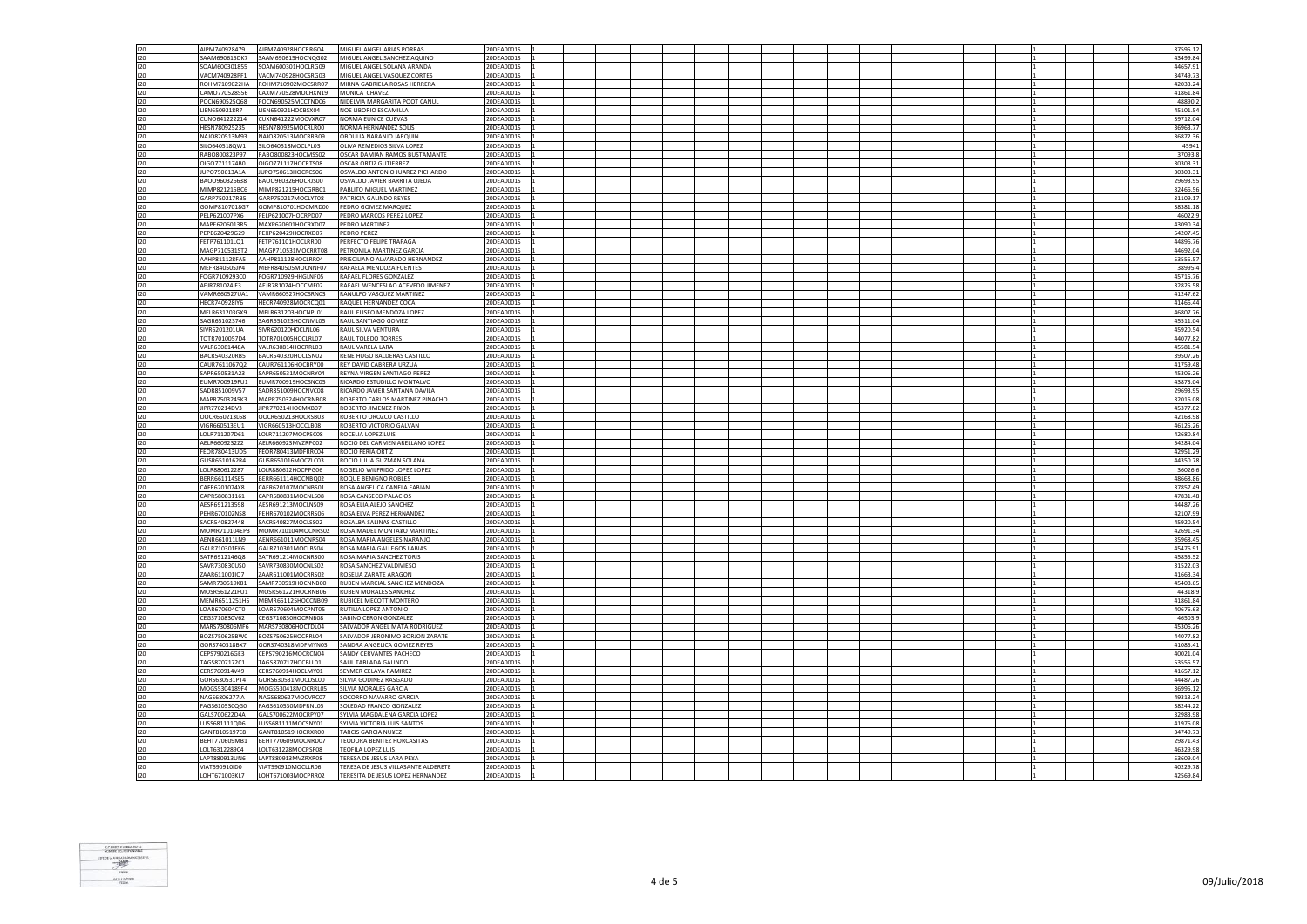| 120        | AIPM740928479                  | AIPM740928HOCRRG04                       | MIGUEL ANGEL ARIAS PORRAS                                                | 20DEA0001S               |  |  |  |  |  | 37595.12             |
|------------|--------------------------------|------------------------------------------|--------------------------------------------------------------------------|--------------------------|--|--|--|--|--|----------------------|
| 120        | SAAM690615DK7                  | SAAM690615HOCNOG02                       | MIGUEL ANGEL SANCHEZ AQUINO                                              | 20DEA0001S               |  |  |  |  |  | 43499.84             |
| 120        | SOAM600301855                  | SOAM600301HOCLBG09                       | MIGUEL ANGEL SOLANA ARANDA                                               | 20DEA0001S               |  |  |  |  |  | 44657.91             |
|            |                                |                                          |                                                                          |                          |  |  |  |  |  |                      |
| 120        | VACM740928PF1                  | VACM740928HOCSRG03                       | MIGUEL ANGEL VASQUEZ CORTES                                              | 20DEA0001S               |  |  |  |  |  | 34749.7              |
| 120        | ROHM7109022HA                  | ROHM710902MOCSRR07                       | MIRNA GABRIELA ROSAS HERRERA                                             | 20DEA0001S               |  |  |  |  |  | 42033.24             |
| 120        | CAMO770528556                  | CAXM770528MOCHXN19                       | MONICA CHAVEZ                                                            | 20DEA0001S               |  |  |  |  |  | 41861.84             |
| 120        |                                |                                          |                                                                          |                          |  |  |  |  |  |                      |
|            | POCN690525Q68                  | POCN690525MCCTND06                       | NIDELVIA MARGARITA POOT CANUL                                            | 20DEA0001S               |  |  |  |  |  | 48890.2              |
| 120        | LIEN6509218R7                  | LIEN650921HOCBSX04                       | NOE LIBORIO ESCAMILLA                                                    | 20DEA0001S               |  |  |  |  |  | 45101.54             |
| 120        | CUNO641222214                  | CUXN641222MOCVXR07                       | NORMA EUNICE CUEVAS                                                      | 20DEA0001S               |  |  |  |  |  | 39712.04             |
| 120        | HESN780925235                  | HESN780925MOCRLR00                       | NORMA HERNANDEZ SOLIS                                                    | 20DEA0001S               |  |  |  |  |  | 36963.7              |
|            |                                |                                          |                                                                          |                          |  |  |  |  |  |                      |
| 120        | NAJO820513M93                  | NAJO820513MOCRRB09                       | OBDULIA NARANJO JARQUIN                                                  | 20DEA0001S               |  |  |  |  |  | 36872.36             |
| 120        | SILO640518QW1                  | SILO640518MOCLPL03                       | OLIVA REMEDIOS SILVA LOPEZ                                               | 20DEA0001S               |  |  |  |  |  | 4594                 |
|            |                                |                                          |                                                                          |                          |  |  |  |  |  |                      |
| 120        | RABO800823P97                  | RABO800823HOCMSS02                       | OSCAR DAMIAN RAMOS BUSTAMANTE                                            | 20DEA0001S               |  |  |  |  |  | 37093.               |
| 120        | OIGO7711174B0                  | OIGO771117HOCRTS08                       | OSCAR ORTIZ GUTIERREZ                                                    | 20DEA0001S               |  |  |  |  |  | 30303.3              |
| 120        | JUPO750613A1A                  | JUPO750613HOCRCS06                       | OSVALDO ANTONIO JUAREZ PICHARDO                                          | 20DEA0001S               |  |  |  |  |  | 30303.33             |
| 120        | BAOO960326638                  | BAOO960326HOCRJS00                       | OSVALDO JAVIER BARRITA OJEDA                                             | 20DEA0001S               |  |  |  |  |  | 29693.95             |
|            |                                |                                          |                                                                          |                          |  |  |  |  |  |                      |
| 120        | MIMP821215BC6                  | MIMP821215HOCGRB01                       | PABLITO MIGUEL MARTINEZ                                                  | 20DEA0001S               |  |  |  |  |  | 32466.56             |
| 120        | GARP750217RB5                  | GARP750217MOCLYT08                       | PATRICIA GALINDO REYES                                                   | 20DEA0001S               |  |  |  |  |  | 31109.1              |
| 120        | GOMP8107018G7                  | GOMP810701HOCMRD00                       | PEDRO GOMEZ MARQUEZ                                                      | 20DEA0001S               |  |  |  |  |  |                      |
|            |                                |                                          |                                                                          |                          |  |  |  |  |  | 38381.18             |
| 120        | PELP621007PX6                  | PELP621007HOCRPD07                       | PEDRO MARCOS PEREZ LOPEZ                                                 | 20DEA0001S               |  |  |  |  |  | 46022.9              |
| 120        | MAPF6206013R5                  | MAXP620601HOCRXD07                       | PEDRO MARTINEZ                                                           | 20DEA0001S               |  |  |  |  |  | 43090.34             |
| 120        | PEPE620429G29                  | PEXP620429HOCRXD07                       | PEDRO PEREZ                                                              | 20DEA0001S               |  |  |  |  |  | 54207.4              |
|            |                                |                                          |                                                                          |                          |  |  |  |  |  |                      |
| 120        | FETP761101LQ1                  | FETP761101HOCLRR00                       | PERFECTO FELIPE TRAPAGA                                                  | 20DEA0001S               |  |  |  |  |  | 44896.7              |
| 120        | MAGP710531ST2                  | MAGP710531MOCRRT08                       | PETRONILA MARTINEZ GARCIA                                                | 20DEA0001S               |  |  |  |  |  | 44692.04             |
| 120        | AAHP811128FA5                  | AAHP811128HOCLRR04                       | PRISCILIANO ALVARADO HERNANDEZ                                           | 20DEA0001S               |  |  |  |  |  | 53555.57             |
|            |                                |                                          |                                                                          |                          |  |  |  |  |  |                      |
| 120        | MEFR840505JP4                  | MEFR840505MOCNNF07                       | RAFAELA MENDOZA FUENTES                                                  | 20DEA0001S               |  |  |  |  |  | 38995.4              |
| 120        | FOGR7109293C0                  | FOGR710929HHGLNF05                       | RAFAEL FLORES GONZALEZ                                                   | 20DEA0001S               |  |  |  |  |  | 45715.7              |
| 120        | AEJR781024IF3                  | AEJR781024HOCCMF02                       | RAFAEL WENCESLAO ACEVEDO JIMENEZ                                         | 20DEA0001S               |  |  |  |  |  | 32825.58             |
|            |                                |                                          |                                                                          |                          |  |  |  |  |  |                      |
| 120        | VAMR660527UA1                  | VAMR660527HOCSRN03                       | RANULFO VASQUEZ MARTINEZ                                                 | 20DEA0001S               |  |  |  |  |  | 41247.62             |
| 120        | HECR740928IY6                  | HECR740928MOCRCO01                       | RAQUEL HERNANDEZ COCA                                                    | 20DEA0001S               |  |  |  |  |  | 41466.4              |
| 120        | MELR631203GX9                  | MELR631203HOCNPL01                       | RAUL ELISEO MENDOZA LOPEZ                                                | 20DEA0001S               |  |  |  |  |  | 46807.76             |
|            |                                |                                          |                                                                          |                          |  |  |  |  |  |                      |
| 120        | SAGR651023746                  | SAGR651023HOCNML05                       | RAUL SANTIAGO GOMEZ                                                      | 20DEA0001S               |  |  |  |  |  | 45511.04             |
| 120        | SIVR6201201UA                  | SIVR620120HOCLNL06                       | RAUL SILVA VENTURA                                                       | 20DEA0001S               |  |  |  |  |  | 45920.54             |
| 120        | TOTR7010057D4                  | TOTR701005HOCLRL07                       | RAUL TOLEDO TORRES                                                       | 20DEA0001S               |  |  |  |  |  | 44077.82             |
|            |                                |                                          |                                                                          |                          |  |  |  |  |  |                      |
| 120        | VALR63081448A                  | VALR630814HOCRRL03                       | RAUL VARELA LARA                                                         | 20DEA0001S               |  |  |  |  |  | 45581.54             |
| 120        | BACR540320RB5                  | BACR540320HOCLSN02                       | RENE HUGO BALDERAS CASTILLO                                              | 20DEA0001S               |  |  |  |  |  | 39507.2              |
| 120        | CAUR761106702                  | CAUR761106HOCBRY00                       | <b>REY DAVID CARRERA URZUA</b>                                           | 20DEA0001S               |  |  |  |  |  | 41759.48             |
| 120        | SAPR650531A23                  | SAPR650531MOCNRY04                       |                                                                          |                          |  |  |  |  |  |                      |
|            |                                |                                          | REYNA VIRGEN SANTIAGO PEREZ                                              | 20DEA0001S               |  |  |  |  |  | 45306.26             |
| 120        | EUMR700919FU1                  | EUMR700919HOCSNC05                       | RICARDO ESTUDILLO MONTALVO                                               | 20DEA0001S               |  |  |  |  |  | 43873.0              |
| 120        | SADR851009V57                  | SADR851009HOCNVC08                       | RICARDO JAVIER SANTANA DAVILA                                            | 20DEA0001S               |  |  |  |  |  | 29693.95             |
| 120        | MAPR7503245K3                  |                                          | ROBERTO CARLOS MARTINEZ PINACHO                                          | 20DEA0001S               |  |  |  |  |  | 32016.0              |
|            |                                | MAPR750324HOCRNB08                       |                                                                          |                          |  |  |  |  |  |                      |
| 120        | JIPR770214DV3                  | JIPR770214HOCMXB07                       | ROBERTO JIMENEZ PI¥ON                                                    | 20DEA0001S               |  |  |  |  |  | 45377.82             |
| 120        | OOCR650213L68                  | OOCR650213HOCRSB03                       | ROBERTO OROZCO CASTILLO                                                  | 20DEA0001S               |  |  |  |  |  | 42168.98             |
| 120        | VIGR660513EU1                  | VIGR660513HOCCLB08                       | ROBERTO VICTORIO GALVAN                                                  | 20DEA0001S               |  |  |  |  |  | 46125.2              |
|            |                                |                                          |                                                                          |                          |  |  |  |  |  |                      |
| 120        | LOLR711207D61                  | LOLR711207MOCPSC08                       | ROCELIA LOPEZ LUIS                                                       | 20DEA0001S               |  |  |  |  |  | 42680.8              |
| 120        | AELR6609232Z2                  | AELR660923MVZRPC02                       | ROCIO DEL CARMEN ARELLANO LOPEZ                                          | 20DEA0001S               |  |  |  |  |  | 54284.04             |
| 120        | FEOR780413UD5                  | FEOR780413MDFRRC04                       | ROCIO FERIA ORTIZ                                                        | 20DEA0001S               |  |  |  |  |  | 42951.29             |
|            |                                |                                          |                                                                          |                          |  |  |  |  |  |                      |
| 120        | GUSR6510162R4                  | GUSR651016MOCZLC03                       | ROCIO IUI IA GUZMAN SOLANA                                               | 20DEA0001S               |  |  |  |  |  | 44350.78             |
| 120        | LOLR880612287                  | LOLR880612HOCPPG06                       | ROGELIO WILFRIDO LOPEZ LOPEZ                                             | 20DEA0001S               |  |  |  |  |  | 36026.               |
| 120        | BERR661114SE5                  | BERR661114HOCNBQ02                       | ROQUE BENIGNO ROBLES                                                     | 20DEA0001S               |  |  |  |  |  | 48668.86             |
|            |                                |                                          |                                                                          |                          |  |  |  |  |  |                      |
| 120        | CAFR6201074X8                  | CAFR620107MOCNBS01                       | ROSA ANGELICA CANELA FABIAN                                              | 20DEA0001S               |  |  |  |  |  | 37857.49             |
| 120        | CAPR580831161                  | CAPR580831MOCNLS08                       | ROSA CANSECO PALACIOS                                                    |                          |  |  |  |  |  |                      |
| 120        | AESR691213598                  |                                          |                                                                          |                          |  |  |  |  |  |                      |
|            |                                |                                          |                                                                          | 20DEA0001S               |  |  |  |  |  | 47831.48             |
| 120        | PEHR670102NS8                  | AESR691213MOCLNS09                       | ROSA ELIA ALEJO SANCHEZ                                                  | 20DEA0001S               |  |  |  |  |  | 44487.26             |
| 120        |                                | PEHR670102MOCRRS06                       | ROSA ELVA PEREZ HERNANDEZ                                                | 20DEA0001S               |  |  |  |  |  | 42107.99             |
|            | SACR540827448                  |                                          | ROSALBA SALINAS CASTILLO                                                 |                          |  |  |  |  |  |                      |
|            |                                | SACR540827MOCLSS02                       |                                                                          | 20DEA0001S               |  |  |  |  |  | 45920.54             |
| 120        |                                | MOMR710104EP3 MOMR710104MOCNRS02         | ROSA MADEL MONTA¥O MARTINEZ                                              | 20DEA0001S               |  |  |  |  |  | 42691.34             |
| 120        | AENR661011LN9                  | AENR661011MOCNRS04                       | ROSA MARIA ANGELES NARANJO                                               | 20DEA0001S               |  |  |  |  |  | 35968.4              |
| 120        | GALR710301FK6                  | GALR710301MOCLBS04                       | ROSA MARIA GALLEGOS LABIAS                                               | 20DEA0001S               |  |  |  |  |  | 45476.9              |
|            |                                |                                          |                                                                          |                          |  |  |  |  |  |                      |
| 120        | SATR6912146Q8                  | SATR691214MOCNRS00                       | ROSA MARIA SANCHEZ TORIS                                                 | 20DEA0001S               |  |  |  |  |  | 45855.5              |
| 120        | SAVR730830US0                  | SAVR730830MOCNLS02                       | ROSA SANCHEZ VALDIVIESO                                                  | 20DEA0001S               |  |  |  |  |  | 31522.03             |
| 120        | ZAAR611001IQ7                  | ZAAR611001MOCRRS02                       | ROSELIA ZARATE ARAGON                                                    | 20DEA0001S               |  |  |  |  |  | 41663.34             |
| 120        | SAMR730519K81                  | SAMR730519HOCNNB00                       | RUBEN MARCIAL SANCHEZ MENDOZA                                            | 20DEA0001S               |  |  |  |  |  | 45408.6              |
|            |                                |                                          |                                                                          |                          |  |  |  |  |  |                      |
| 120        | MOSR561221FU1                  | MOSR561221HOCRNB06                       | RUBEN MORALES SANCHEZ                                                    | 20DEA0001S               |  |  |  |  |  | 44318.9              |
| 120        |                                | MEMR6511251H5 MEMR651125HOCCNB09         | <b>RUBICEL MECOTT MONTERO</b>                                            | 20DEA0001S               |  |  |  |  |  | 41861.8              |
| 120        |                                |                                          | RUTILIA LOPEZ ANTONIO                                                    | 20DEA0001S               |  |  |  |  |  |                      |
|            | LOAR670604CT0                  | LOAR670604MOCPNT05                       |                                                                          |                          |  |  |  |  |  | 40676.63             |
| 120        | CEGS710830V62                  | CEGS710830HOCRNB08                       | SABINO CERON GONZALEZ                                                    | 20DEA0001S               |  |  |  |  |  | 46503.9              |
| 120        | MARS730806MF6                  | MARS730806HOCTDL04                       | SALVADOR ANGEL MATA RODRIGUEZ                                            | 20DEA0001S               |  |  |  |  |  | 45306.2              |
| 120        | BOZS750625BW0                  |                                          | SALVADOR JERONIMO BORION ZARATE                                          | 20DEA0001S               |  |  |  |  |  | 44077.83             |
|            |                                | BOZS750625HOCRRL04                       |                                                                          |                          |  |  |  |  |  |                      |
| 120        | GORS740318BX7                  | GORS740318MDFMYN03                       | SANDRA ANGELICA GOMEZ REYES                                              | 20DEA0001S               |  |  |  |  |  | 41085.41             |
| 120        | CEPS790216GE3                  | CEPS790216MOCRCN04                       | SANDY CERVANTES PACHECO                                                  | 20DEA0001S               |  |  |  |  |  | 40021.04             |
| 120        | TAGS8707172C1                  | TAGS870717HOCBLL01                       | SAUL TABLADA GALINDO                                                     | 20DEA0001S               |  |  |  |  |  | 53555.5              |
|            |                                |                                          |                                                                          |                          |  |  |  |  |  |                      |
| 120        | CERS760914V49                  | CERS760914HOCLMY01                       | SEYMER CELAYA RAMIRE:                                                    | 20DEA0001S               |  |  |  |  |  | 41657.1              |
| 120        | GORS630531PT4                  | GORS630531MOCDSL00                       | SILVIA GODINEZ RASGADO                                                   | 20DEA0001S               |  |  |  |  |  | 44487.26             |
|            | MOGS5304189F4                  | MOGS530418MOCRRL05                       | <b>SILVIA MORALES GARCIA</b>                                             | 20DEA0001S               |  |  |  |  |  |                      |
| 120        |                                |                                          |                                                                          |                          |  |  |  |  |  | 36995.1              |
| 120        | NAGS6806277IA                  | NAGS680627MOCVRC07                       | SOCORRO NAVARRO GARCIA                                                   | 20DEA0001S               |  |  |  |  |  | 49313.2              |
| 120        | FAGS610530QG0                  | FAGS610530MDFRNL05                       | SOLEDAD FRANCO GONZALEZ                                                  | 20DEA0001S               |  |  |  |  |  | 38244.22             |
|            |                                |                                          |                                                                          | 20DEA0001S               |  |  |  |  |  |                      |
| 120        | GALS700622D4A                  | GALS700622MOCRPY07                       | SYLVIA MAGDALENA GARCIA LOPEZ                                            |                          |  |  |  |  |  | 32983.9              |
| 120        | LUSS681111QD6                  | LUSS681111MOCSNY01                       | SYLVIA VICTORIA LUIS SANTOS                                              | 20DEA0001S               |  |  |  |  |  | 41976.08             |
| 120        | GANT8105197E8                  | GANT810519HOCRXR00                       | TARCIS GARCIA NU¥EZ                                                      | 20DEA0001S               |  |  |  |  |  | 34749.7              |
| 120        | BEHT770609MB1                  | BEHT770609MOCNRD07                       | TEODORA BENITEZ HORCASITAS                                               | 20DEA0001S               |  |  |  |  |  | 29871.43             |
|            |                                | LOLT631228MOCPSF08                       |                                                                          |                          |  |  |  |  |  |                      |
| 120        | LOLT6312289C4                  |                                          | TEOFILA LOPEZ LUIS                                                       | 20DEA0001S               |  |  |  |  |  | 46329.98             |
| 120        | LAPT880913UN6                  | LAPT880913MVZRXR08                       | TERESA DE JESUS LARA PE¥A                                                | 20DEA0001S               |  |  |  |  |  | 53609.0              |
| 120<br>120 | VIAT590910ID0<br>LOHT671003KL7 | VIAT590910MOCLLR06<br>LOHT671003MOCPRR02 | TERESA DE JESUS VILLASANTE ALDERETE<br>TERESITA DE JESUS LOPEZ HERNANDEZ | 20DEA0001S<br>20DEA0001S |  |  |  |  |  | 40229.78<br>42569.84 |